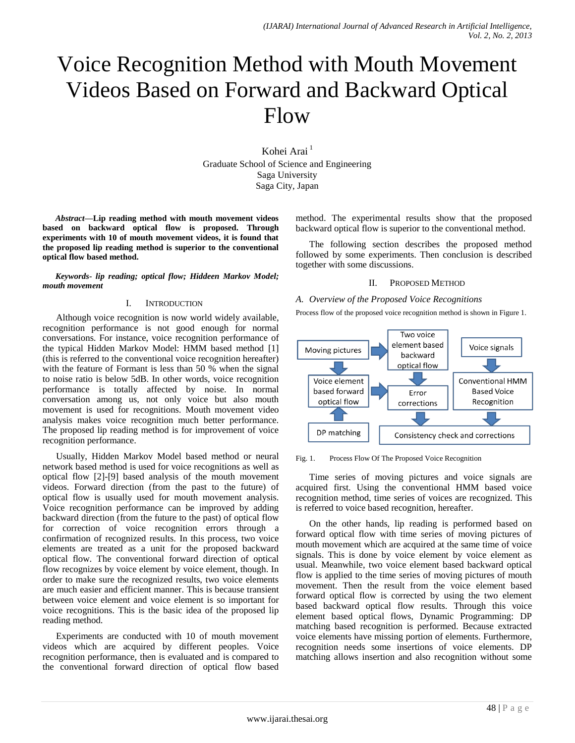# Voice Recognition Method with Mouth Movement Videos Based on Forward and Backward Optical Flow

Kohei Arai<sup>1</sup> Graduate School of Science and Engineering Saga University Saga City, Japan

*Abstract***—Lip reading method with mouth movement videos based on backward optical flow is proposed. Through experiments with 10 of mouth movement videos, it is found that the proposed lip reading method is superior to the conventional optical flow based method.** 

*Keywords- lip reading; optical flow; Hiddeen Markov Model; mouth movement*

#### I. INTRODUCTION

Although voice recognition is now world widely available, recognition performance is not good enough for normal conversations. For instance, voice recognition performance of the typical Hidden Markov Model: HMM based method [1] (this is referred to the conventional voice recognition hereafter) with the feature of Formant is less than 50 % when the signal to noise ratio is below 5dB. In other words, voice recognition performance is totally affected by noise. In normal conversation among us, not only voice but also mouth movement is used for recognitions. Mouth movement video analysis makes voice recognition much better performance. The proposed lip reading method is for improvement of voice recognition performance.

Usually, Hidden Markov Model based method or neural network based method is used for voice recognitions as well as optical flow [2]-[9] based analysis of the mouth movement videos. Forward direction (from the past to the future) of optical flow is usually used for mouth movement analysis. Voice recognition performance can be improved by adding backward direction (from the future to the past) of optical flow for correction of voice recognition errors through a confirmation of recognized results. In this process, two voice elements are treated as a unit for the proposed backward optical flow. The conventional forward direction of optical flow recognizes by voice element by voice element, though. In order to make sure the recognized results, two voice elements are much easier and efficient manner. This is because transient between voice element and voice element is so important for voice recognitions. This is the basic idea of the proposed lip reading method.

Experiments are conducted with 10 of mouth movement videos which are acquired by different peoples. Voice recognition performance, then is evaluated and is compared to the conventional forward direction of optical flow based

method. The experimental results show that the proposed backward optical flow is superior to the conventional method.

The following section describes the proposed method followed by some experiments. Then conclusion is described together with some discussions.

### II. PROPOSED METHOD

## *A. Overview of the Proposed Voice Recognitions*

Process flow of the proposed voice recognition method is shown in Figure 1.



Fig. 1. Process Flow Of The Proposed Voice Recognition

Time series of moving pictures and voice signals are acquired first. Using the conventional HMM based voice recognition method, time series of voices are recognized. This is referred to voice based recognition, hereafter.

On the other hands, lip reading is performed based on forward optical flow with time series of moving pictures of mouth movement which are acquired at the same time of voice signals. This is done by voice element by voice element as usual. Meanwhile, two voice element based backward optical flow is applied to the time series of moving pictures of mouth movement. Then the result from the voice element based forward optical flow is corrected by using the two element based backward optical flow results. Through this voice element based optical flows, Dynamic Programming: DP matching based recognition is performed. Because extracted voice elements have missing portion of elements. Furthermore, recognition needs some insertions of voice elements. DP matching allows insertion and also recognition without some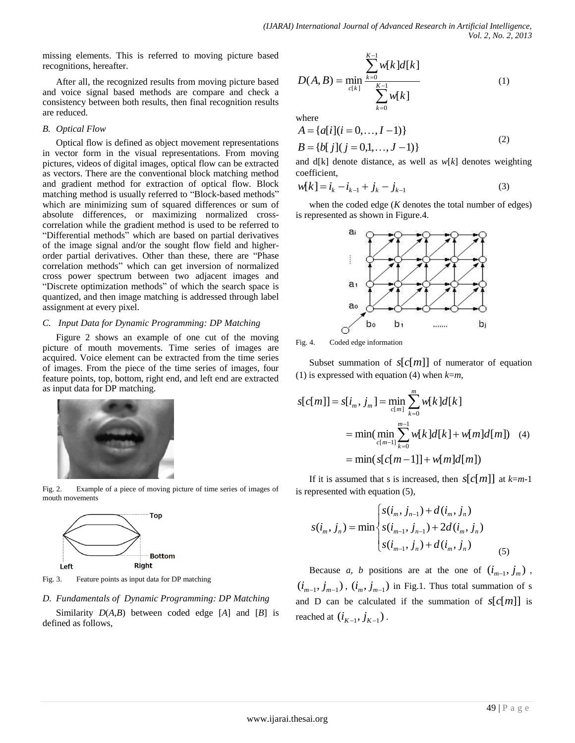missing elements. This is referred to moving picture based recognitions, hereafter.

After all, the recognized results from moving picture based and voice signal based methods are compare and check a consistency between both results, then final recognition results are reduced.

## *B. Optical Flow*

Optical flow is defined as object movement representations in vector form in the visual representations. From moving pictures, videos of digital images, optical flow can be extracted as vectors. There are the conventional block matching method and gradient method for extraction of optical flow. Block matching method is usually referred to "Block-based methods" which are minimizing sum of squared differences or [sum of](http://en.wikipedia.org/wiki/Sum_of_absolute_differences)  [absolute differences,](http://en.wikipedia.org/wiki/Sum_of_absolute_differences) or maximizing normalized [cross](http://en.wikipedia.org/wiki/Cross-correlation)[correlation](http://en.wikipedia.org/wiki/Cross-correlation) while the gradient method is used to be referred to "Differential methods" which are based on partial derivatives of the image signal and/or the sought flow field and higherorder partial derivatives. Other than these, there are "Phase correlation methods" which can get inversion of normalized cross power spectrum between two adjacent images and "Discrete optimization methods" of which the search space is quantized, and then image matching is addressed through label assignment at every pixel.

# *C. Input Data for Dynamic Programming: DP Matching*

Figure 2 shows an example of one cut of the moving picture of mouth movements. Time series of images are acquired. Voice element can be extracted from the time series of images. From the piece of the time series of images, four feature points, top, bottom, right end, and left end are extracted as input data for DP matching.



Fig. 2. Example of a piece of moving picture of time series of images of mouth movements



Fig. 3. Feature points as input data for DP matching

# *D. Fundamentals of Dynamic Programming: DP Matching*

Similarity *D*(*A,B*) between coded edge [*A*] and [*B*] is defined as follows,

$$
D(A, B) = \min_{c[k]} \frac{\sum_{k=0}^{K-1} w[k]d[k]}{\sum_{k=0}^{K-1} w[k]}
$$
 (1)

where

$$
A = \{a[i](i = 0, ..., I - 1)\}
$$
  
\n
$$
B = \{b[j](j = 0, 1, ..., J - 1)\}
$$
\n(2)

and d[k] denote distance, as well as *w*[*k*] denotes weighting coefficient,

$$
w[k] = i_k - i_{k-1} + j_k - j_{k-1}
$$
\n(3)

when the coded edge (*K* denotes the total number of edges) is represented as shown in Figure.4.



Fig. 4. Coded edge information

Subset summation of  $s[c[m]]$  of numerator of equation (1) is expressed with equation (4) when *k*=*m*,

$$
s[c[m]] = s[i_m, j_m] = \min_{c[m]} \sum_{k=0}^{m} w[k]d[k]
$$
  
= 
$$
\min(\min_{c[m-1]} \sum_{k=0}^{m-1} w[k]d[k] + w[m]d[m])
$$
 (4)  
= 
$$
\min(s[c[m-1]] + w[m]d[m])
$$

If it is assumed that s is increased, then  $s[c[m]]$  at  $k=m-1$ is represented with equation (5),

$$
s(i_m, j_n) = \min \begin{cases} s(i_m, j_{n-1}) + d(i_m, j_n) \\ s(i_{m-1}, j_{n-1}) + 2d(i_m, j_n) \\ s(i_{m-1}, j_n) + d(i_m, j_n) \end{cases}
$$
(5)

Because *a*, *b* positions are at the one of  $(i_{m-1}, j_m)$ ,  $(i_{m-1}, j_{m-1})$ ,  $(i_m, j_{m-1})$  in Fig.1. Thus total summation of s and D can be calculated if the summation of  $s[c[m]]$  is reached at  $(i_{K-1}, j_{K-1})$ .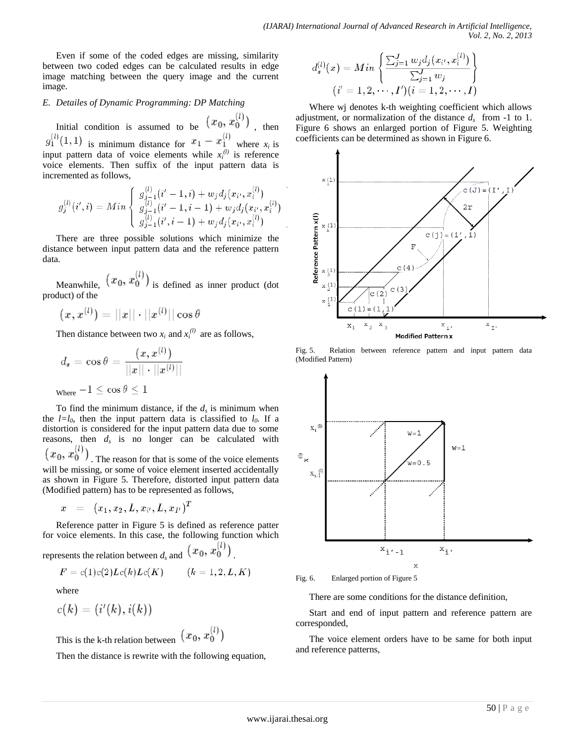Even if some of the coded edges are missing, similarity between two coded edges can be calculated results in edge image matching between the query image and the current image.

## *E. Detailes of Dynamic Programming: DP Matching*

Initial condition is assumed to be  $(x_0, x_0^{(l)})$ , then is minimum distance for  $x_1 - x_1$  where  $x_i$  is input pattern data of voice elements while  $x_i^{(l)}$  is reference voice elements. Then suffix of the input pattern data is incremented as follows,

$$
g_j^{(l)}(i',i) = Min \left\{ \begin{array}{l} g_{j-1}^{(l)}(i'-1,i) + w_j d_j(x_{i'},x_i^{(l)}) \\ g_{j-1}^{(l)}(i'-1,i-1) + w_j d_j(x_{i'},x_i^{(l)}) \\ g_{j-1}^{(l)}(i',i-1) + w_j d_j(x_{i'},x_i^{(l)}) \end{array} \right.
$$

There are three possible solutions which minimize the distance between input pattern data and the reference pattern data.

Meanwhile,  $(x_0, x_0^{(l)})$  is defined as inner product (dot product) of the

$$
(x,x^{(l)})=||x||\cdot||x^{(l)}||\cos\theta
$$

Then distance between two  $x_i$  and  $x_i^{(l)}$  are as follows,

$$
d_s = \cos \theta = \frac{(x, x^{(l)})}{||x|| \cdot ||x^{(l)}||}
$$
  
where 
$$
-1 \leq \cos \theta \leq 1
$$

To find the minimum distance, if the  $d_s$  is minimum when the  $l=l_0$ , then the input pattern data is classified to  $l_0$ . If a distortion is considered for the input pattern data due to some reasons, then  $d_s$  is no longer can be calculated with

 $(x_0, x_0^{(l)})$ . The reason for that is some of the voice elements will be missing, or some of voice element inserted accidentally as shown in Figure 5. Therefore, distorted input pattern data (Modified pattern) has to be represented as follows,

$$
x \;\; = \;\; (x_1,x_2,L,x_{i'},L,x_{I'})^T
$$

Reference patter in Figure 5 is defined as reference patter for voice elements. In this case, the following function which  $\lambda$  $(1)$ 

represents the relation between 
$$
d_s
$$
 and  $(x_0, x_0')$ .

$$
F=c(1)c(2)Lc(k)Lc(K)\qquad \ (k=1,2,L,K)
$$

where

$$
c(k)=(i^{\prime }(k),i(k))
$$

This is the k-th relation between  $(x_0, x_0^{(l)})$ 

Then the distance is rewrite with the following equation,

$$
d_s^{(l)}(x) = Min \left\{ \frac{\sum_{j=1}^J w_j d_j(x_{i'}, x_i^{(l)})}{\sum_{j=1}^J w_j} \right\} \\ (i'=1,2,\cdots,I') (i=1,2,\cdots, I)
$$

Where wj denotes k-th weighting coefficient which allows adjustment, or normalization of the distance  $d_s$  from -1 to 1. Figure 6 shows an enlarged portion of Figure 5. Weighting coefficients can be determined as shown in Figure 6.



Fig. 5. Relation between reference pattern and input pattern data (Modified Pattern)



Fig. 6. Enlarged portion of Figure 5

There are some conditions for the distance definition,

Start and end of input pattern and reference pattern are corresponded,

The voice element orders have to be same for both input and reference patterns,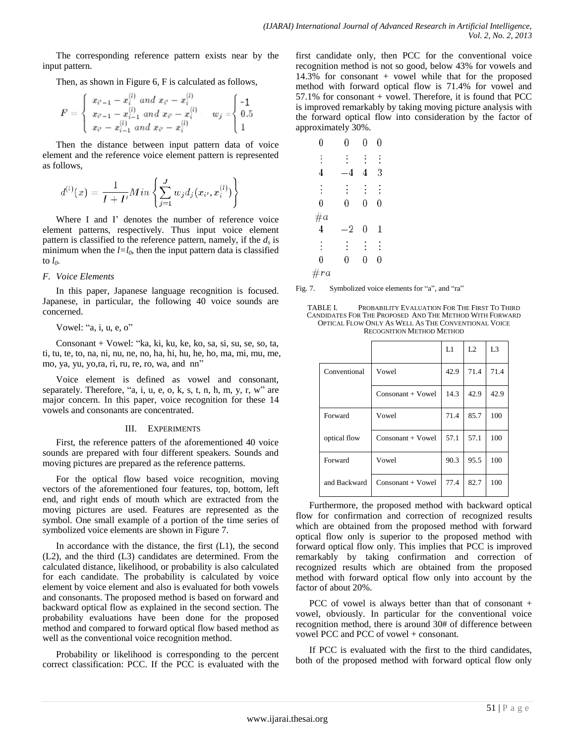The corresponding reference pattern exists near by the input pattern.

Then, as shown in Figure 6, F is calculated as follows,

$$
F = \left\{ \begin{array}{l} x_{i'-1} - x_i^{(l)} \; and \; x_{i'} - x_i^{(l)} \\ x_{i'-1} - x_{i-1}^{(l)} \; and \; x_{i'} - x_i^{(l)} \; \; & \; w_j = \hspace{-0.1cm} \left\{ \begin{array}{l} \text{-}1 \\ 0.5 \\ x_{i'} - x_{i-1}^{(l)} \; and \; x_{i'} - x_i^{(l)} \end{array} \right. \right. \; \; \; u_{j} = \hspace{-0.1cm} \left\{ \begin{array}{l} \text{-}1 \\ 0.5 \\ 1 \end{array} \right.
$$

Then the distance between input pattern data of voice element and the reference voice element pattern is represented as follows,

$$
d^{(l)}(x) = \frac{1}{I+I'}Min\left\{\sum_{j=1}^J w_j d_j(x_{i'}, x_i^{(l)})\right\}
$$

Where I and I' denotes the number of reference voice element patterns, respectively. Thus input voice element pattern is classified to the reference pattern, namely, if the *d<sup>s</sup>* is minimum when the  $l=l_0$ , then the input pattern data is classified to  $l_0$ .

### *F. Voice Elements*

In this paper, Japanese language recognition is focused. Japanese, in particular, the following 40 voice sounds are concerned.

### Vowel: "a, i, u, e, o"

Consonant + Vowel: "ka, ki, ku, ke, ko, sa, si, su, se, so, ta, ti, tu, te, to, na, ni, nu, ne, no, ha, hi, hu, he, ho, ma, mi, mu, me, mo, ya, yu, yo,ra, ri, ru, re, ro, wa, and nn"

Voice element is defined as vowel and consonant, separately. Therefore, "a, i, u, e, o, k, s, t, n, h, m, y, r,  $w$ " are major concern. In this paper, voice recognition for these 14 vowels and consonants are concentrated.

## III. EXPERIMENTS

First, the reference patters of the aforementioned 40 voice sounds are prepared with four different speakers. Sounds and moving pictures are prepared as the reference patterns.

For the optical flow based voice recognition, moving vectors of the aforementioned four features, top, bottom, left end, and right ends of mouth which are extracted from the moving pictures are used. Features are represented as the symbol. One small example of a portion of the time series of symbolized voice elements are shown in Figure 7.

In accordance with the distance, the first  $(L1)$ , the second (L2), and the third (L3) candidates are determined. From the calculated distance, likelihood, or probability is also calculated for each candidate. The probability is calculated by voice element by voice element and also is evaluated for both vowels and consonants. The proposed method is based on forward and backward optical flow as explained in the second section. The probability evaluations have been done for the proposed method and compared to forward optical flow based method as well as the conventional voice recognition method.

Probability or likelihood is corresponding to the percent correct classification: PCC. If the PCC is evaluated with the

first candidate only, then PCC for the conventional voice recognition method is not so good, below 43% for vowels and 14.3% for consonant + vowel while that for the proposed method with forward optical flow is 71.4% for vowel and 57.1% for consonant + vowel. Therefore, it is found that PCC is improved remarkably by taking moving picture analysis with the forward optical flow into consideration by the factor of approximately 30%.

| 0               | 0        | 0        | 0 |  |
|-----------------|----------|----------|---|--|
| $\vdots$        | $\vdots$ | $\vdots$ |   |  |
| 4               | 4        | 4        | 3 |  |
| $\vdots$        | $\vdots$ | $\vdots$ |   |  |
| 0               | 0        | 0        | 0 |  |
| $\frac{\#a}{4}$ |          |          |   |  |
|                 | $^{-2}$  | 0        | 1 |  |
| $\vdots$        | $\vdots$ | $\vdots$ | ፡ |  |
| 0               | 0        | 0        | 0 |  |
| #ra             |          |          |   |  |

Fig. 7. Symbolized voice elements for "a", and "ra"

TABLE I. PROBABILITY EVALUATION FOR THE FIRST TO THIRD CANDIDATES FOR THE PROPOSED AND THE METHOD WITH FORWARD OPTICAL FLOW ONLY AS WELL AS THE CONVENTIONAL VOICE RECOGNITION METHOD METHOD

|              |                     | L1   | L <sub>2</sub> | L <sub>3</sub> |
|--------------|---------------------|------|----------------|----------------|
| Conventional | Vowel               | 42.9 | 71.4           | 71.4           |
|              | $Consonant + Vowel$ | 14.3 | 42.9           | 42.9           |
| Forward      | Vowel               | 71.4 | 85.7           | 100            |
| optical flow | Consonant + Vowel   | 57.1 | 57.1           | 100            |
| Forward      | Vowel               | 90.3 | 95.5           | 100            |
| and Backward | Consonant + Vowel   | 77.4 | 82.7           | 100            |

Furthermore, the proposed method with backward optical flow for confirmation and correction of recognized results which are obtained from the proposed method with forward optical flow only is superior to the proposed method with forward optical flow only. This implies that PCC is improved remarkably by taking confirmation and correction of recognized results which are obtained from the proposed method with forward optical flow only into account by the factor of about 20%.

PCC of vowel is always better than that of consonant + vowel, obviously. In particular for the conventional voice recognition method, there is around 30# of difference between vowel PCC and PCC of vowel + consonant.

If PCC is evaluated with the first to the third candidates, both of the proposed method with forward optical flow only